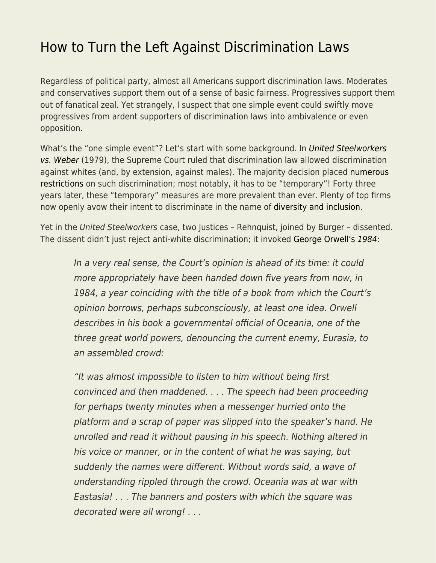## [How to Turn the Left Against Discrimination Laws](https://everything-voluntary.com/how-to-turn-the-left-against-discrimination-laws)

Regardless of political party, almost all Americans support discrimination laws. Moderates and conservatives support them out of a sense of basic fairness. Progressives support them out of fanatical zeal. Yet strangely, I suspect that one simple event could swiftly move progressives from ardent supporters of discrimination laws into ambivalence or even opposition.

What's the "one simple event"? Let's start with some background. In [United Steelworkers](https://www.law.cornell.edu/supremecourt/text/443/193) [vs. Weber](https://www.law.cornell.edu/supremecourt/text/443/193) (1979), the Supreme Court ruled that discrimination law allowed discrimination against whites (and, by extension, against males). The majority decision placed [numerous](https://en.wikipedia.org/wiki/United_Steelworkers_v._Weber) [restrictions](https://en.wikipedia.org/wiki/United_Steelworkers_v._Weber) on such discrimination; most notably, it has to be "temporary"! Forty three years later, these "temporary" measures are more prevalent than ever. Plenty of top firms now openly avow their intent to discriminate in the name of [diversity and inclusion.](https://www.econlib.org/?p=49178)

Yet in the United Steelworkers case, two Justices – Rehnquist, joined by Burger – dissented. The dissent didn't just reject anti-white discrimination; it invoked [George Orwell's](https://www.econlib.org/the-theory-and-practice-of-oligarchical-collectivism-book-club-round-up/) [1984](https://www.econlib.org/the-theory-and-practice-of-oligarchical-collectivism-book-club-round-up/):

In a very real sense, the Court's opinion is ahead of its time: it could more appropriately have been handed down five years from now, in 1984, a year coinciding with the title of a book from which the Court's opinion borrows, perhaps subconsciously, at least one idea. Orwell describes in his book a governmental official of Oceania, one of the three great world powers, denouncing the current enemy, Eurasia, to an assembled crowd:

"It was almost impossible to listen to him without being first convinced and then maddened. . . . The speech had been proceeding for perhaps twenty minutes when a messenger hurried onto the platform and a scrap of paper was slipped into the speaker's hand. He unrolled and read it without pausing in his speech. Nothing altered in his voice or manner, or in the content of what he was saying, but suddenly the names were different. Without words said, a wave of understanding rippled through the crowd. Oceania was at war with Eastasia! . . . The banners and posters with which the square was decorated were all wrong! . . .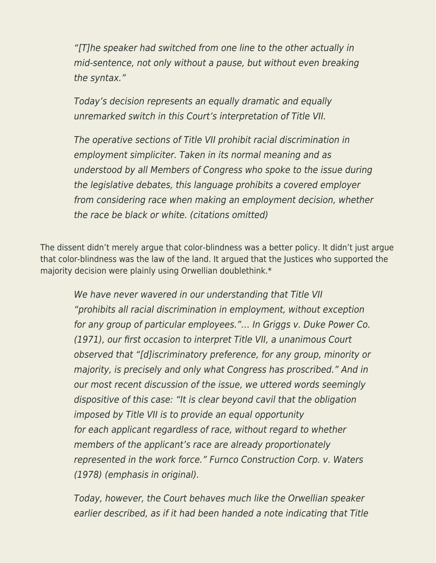"[T]he speaker had switched from one line to the other actually in mid-sentence, not only without a pause, but without even breaking the syntax."

Today's decision represents an equally dramatic and equally unremarked switch in this Court's interpretation of Title VII.

The operative sections of Title VII prohibit racial discrimination in employment simpliciter. Taken in its normal meaning and as understood by all Members of Congress who spoke to the issue during the legislative debates, this language prohibits a covered employer from considering race when making an employment decision, whether the race be black or white. (citations omitted)

The dissent didn't merely argue that color-blindness was a better policy. It didn't just argue that color-blindness was the law of the land. It argued that the Justices who supported the majority decision were plainly using Orwellian doublethink.\*

We have never wavered in our understanding that Title VII "prohibits all racial discrimination in employment, without exception for any group of particular employees."… In Griggs v. Duke Power Co. (1971), our first occasion to interpret Title VII, a unanimous Court observed that "[d]iscriminatory preference, for any group, minority or majority, is precisely and only what Congress has proscribed." And in our most recent discussion of the issue, we uttered words seemingly dispositive of this case: "It is clear beyond cavil that the obligation imposed by Title VII is to provide an equal opportunity for each applicant regardless of race, without regard to whether members of the applicant's race are already proportionately represented in the work force." Furnco Construction Corp. v. Waters (1978) (emphasis in original).

Today, however, the Court behaves much like the Orwellian speaker earlier described, as if it had been handed a note indicating that Title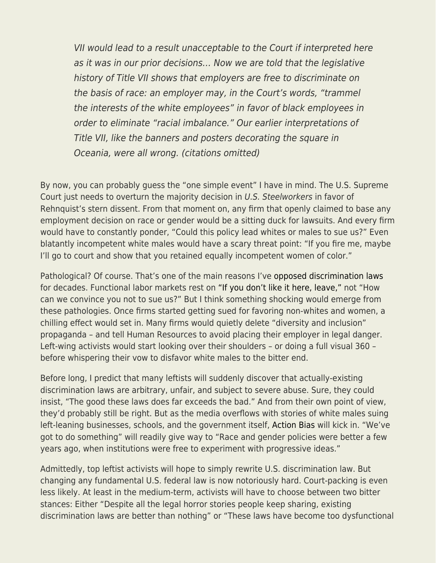VII would lead to a result unacceptable to the Court if interpreted here as it was in our prior decisions… Now we are told that the legislative history of Title VII shows that employers are free to discriminate on the basis of race: an employer may, in the Court's words, "trammel the interests of the white employees" in favor of black employees in order to eliminate "racial imbalance." Our earlier interpretations of Title VII, like the banners and posters decorating the square in Oceania, were all wrong. (citations omitted)

By now, you can probably guess the "one simple event" I have in mind. The U.S. Supreme Court just needs to overturn the majority decision in U.S. Steelworkers in favor of Rehnquist's stern dissent. From that moment on, any firm that openly claimed to base any employment decision on race or gender would be a sitting duck for lawsuits. And every firm would have to constantly ponder, "Could this policy lead whites or males to sue us?" Even blatantly incompetent white males would have a scary threat point: "If you fire me, maybe I'll go to court and show that you retained equally incompetent women of color."

Pathological? Of course. That's one of the main reasons I've [opposed discrimination laws](https://www.econlib.org/?p=52842) for decades. Functional labor markets rest on ["If you don't like it here, leave,"](https://www.econlib.org/archives/2012/06/if_you_dont_lik.html) not "How can we convince you not to sue us?" But I think something shocking would emerge from these pathologies. Once firms started getting sued for favoring non-whites and women, a chilling effect would set in. Many firms would quietly delete "diversity and inclusion" propaganda – and tell Human Resources to avoid placing their employer in legal danger. Left-wing activists would start looking over their shoulders – or doing a full visual 360 – before whispering their vow to disfavor white males to the bitter end.

Before long, I predict that many leftists will suddenly discover that actually-existing discrimination laws are arbitrary, unfair, and subject to severe abuse. Sure, they could insist, "The good these laws does far exceeds the bad." And from their own point of view, they'd probably still be right. But as the media overflows with stories of white males suing left-leaning businesses, schools, and the government itself, [Action Bias](https://www.econlib.org/you-will-not-stampede-me/) will kick in. "We've got to do something" will readily give way to "Race and gender policies were better a few years ago, when institutions were free to experiment with progressive ideas."

Admittedly, top leftist activists will hope to simply rewrite U.S. discrimination law. But changing any fundamental U.S. federal law is now notoriously hard. Court-packing is even less likely. At least in the medium-term, activists will have to choose between two bitter stances: Either "Despite all the legal horror stories people keep sharing, existing discrimination laws are better than nothing" or "These laws have become too dysfunctional